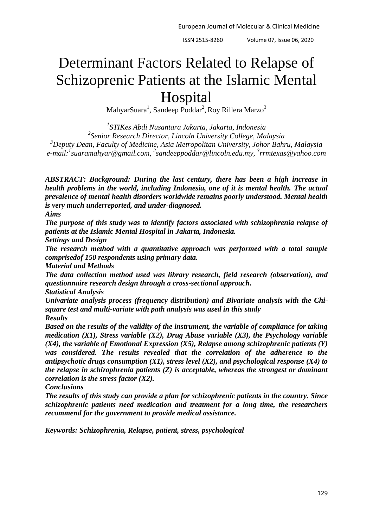# Determinant Factors Related to Relapse of Schizoprenic Patients at the Islamic Mental Hospital

 $\mathrm{MahyarSuara}^1, \mathrm{Sandeep}\ \mathrm{Poddar}^2, \mathrm{Roy}\ \mathrm{Rillera}\ \mathrm{Marzo}^3$ 

 *STIKes Abdi Nusantara Jakarta, Jakarta, Indonesia Senior Research Director, Lincoln University College, Malaysia Deputy Dean, Faculty of Medicine, Asia Metropolitan University, Johor Bahru, Malaysia e-mail:<sup>1</sup> [suaramahyar@gmail.com,](mailto:suaramahyar@gmail.com) 2 [sandeeppoddar@lincoln.edu.my,](mailto:sandeeppoddar@lincoln.edu.my) 3 rrmtexas@yahoo.com*

*ABSTRACT: Background: During the last century, there has been a high increase in health problems in the world, including Indonesia, one of it is mental health. The actual prevalence of mental health disorders worldwide remains poorly understood. Mental health is very much underreported, and under-diagnosed.* 

*Aims*

*The purpose of this study was to identify factors associated with schizophrenia relapse of patients at the Islamic Mental Hospital in Jakarta, Indonesia.* 

*Settings and Design*

*The research method with a quantitative approach was performed with a total sample comprisedof 150 respondents using primary data.* 

*Material and Methods*

*The data collection method used was library research, field research (observation), and questionnaire research design through a cross-sectional approach.*

*Statistical Analysis*

*Univariate analysis process (frequency distribution) and Bivariate analysis with the Chisquare test and multi-variate with path analysis was used in this study Results*

*Based on the results of the validity of the instrument, the variable of compliance for taking medication (X1), Stress variable (X2), Drug Abuse variable (X3), the Psychology variable (X4), the variable of Emotional Expression (X5), Relapse among schizophrenic patients (Y) was considered. The results revealed that the correlation of the adherence to the antipsychotic drugs consumption (X1), stress level (X2), and psychological response (X4) to the relapse in schizophrenia patients (Z) is acceptable, whereas the strongest or dominant correlation is the stress factor (X2).*

*Conclusions*

*The results of this study can provide a plan for schizophrenic patients in the country. Since schizophrenic patients need medication and treatment for a long time, the researchers recommend for the government to provide medical assistance.* 

*Keywords: Schizophrenia, Relapse, patient, stress, psychological*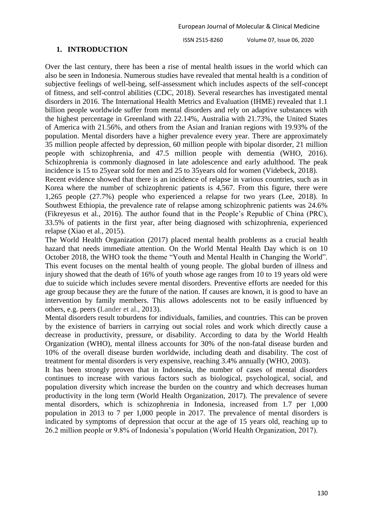### **1. INTRODUCTION**

Over the last century, there has been a rise of mental health issues in the world which can also be seen in Indonesia. Numerous studies have revealed that mental health is a condition of subjective feelings of well-being, self-assessment which includes aspects of the self-concept of fitness, and self-control abilities (CDC, 2018). Several researches has investigated mental disorders in 2016. The International Health Metrics and Evaluation (IHME) revealed that 1.1 billion people worldwide suffer from mental disorders and rely on adaptive substances with the highest percentage in Greenland with 22.14%, Australia with 21.73%, the United States of America with 21.56%, and others from the Asian and Iranian regions with 19.93% of the population. Mental disorders have a higher prevalence every year. There are approximately 35 million people affected by depression, 60 million people with bipolar disorder, 21 million people with schizophrenia, and 47.5 million people with dementia (WHO, 2016). Schizophrenia is commonly diagnosed in late adolescence and early adulthood. The peak incidence is 15 to 25year sold for men and 25 to 35years old for women (Videbeck, 2018).

Recent evidence showed that there is an incidence of relapse in various countries, such as in Korea where the number of schizophrenic patients is 4,567. From this figure, there were 1,265 people (27.7%) people who experienced a relapse for two years (Lee, 2018). In Southwest Ethiopia, the prevalence rate of relapse among schizophrenic patients was 24.6% (Fikreyesus et al., 2016). The author found that in the People's Republic of China (PRC), 33.5% of patients in the first year, after being diagnosed with schizophrenia, experienced relapse (Xiao et al., 2015).

The World Health Organization (2017) placed mental health problems as a crucial health hazard that needs immediate attention. On the World Mental Health Day which is on 10 October 2018, the WHO took the theme "Youth and Mental Health in Changing the World". This event focuses on the mental health of young people. The global burden of illness and injury showed that the death of 16% of youth whose age ranges from 10 to 19 years old were due to suicide which includes severe mental disorders. Preventive efforts are needed for this age group because they are the future of the nation. If causes are known, it is good to have an intervention by family members. This allows adolescents not to be easily influenced by others, e.g. peers (Lander et al., 2013).

Mental disorders result toburdens for individuals, families, and countries. This can be proven by the existence of barriers in carrying out social roles and work which directly cause a decrease in productivity, pressure, or disability. According to data by the World Health Organization (WHO), mental illness accounts for 30% of the non-fatal disease burden and 10% of the overall disease burden worldwide, including death and disability. The cost of treatment for mental disorders is very expensive, reaching 3.4% annually (WHO, 2003).

It has been strongly proven that in Indonesia, the number of cases of mental disorders continues to increase with various factors such as biological, psychological, social, and population diversity which increase the burden on the country and which decreases human productivity in the long term (World Health Organization, 2017). The prevalence of severe mental disorders, which is schizophrenia in Indonesia, increased from 1.7 per 1,000 population in 2013 to 7 per 1,000 people in 2017. The prevalence of mental disorders is indicated by symptoms of depression that occur at the age of 15 years old, reaching up to 26.2 million people or 9.8% of Indonesia's population (World Health Organization, 2017).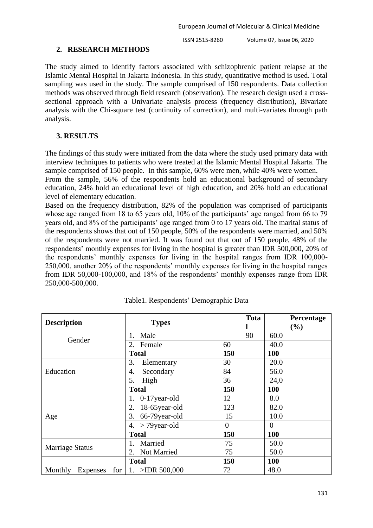## **2. RESEARCH METHODS**

The study aimed to identify factors associated with schizophrenic patient relapse at the Islamic Mental Hospital in Jakarta Indonesia. In this study, quantitative method is used. Total sampling was used in the study. The sample comprised of 150 respondents. Data collection methods was observed through field research (observation). The research design used a crosssectional approach with a Univariate analysis process (frequency distribution), Bivariate analysis with the Chi-square test (continuity of correction), and multi-variates through path analysis.

# **3. RESULTS**

The findings of this study were initiated from the data where the study used primary data with interview techniques to patients who were treated at the Islamic Mental Hospital Jakarta. The sample comprised of 150 people. In this sample, 60% were men, while 40% were women.

From the sample, 56% of the respondents hold an educational background of secondary education, 24% hold an educational level of high education, and 20% hold an educational level of elementary education.

Based on the frequency distribution, 82% of the population was comprised of participants whose age ranged from 18 to 65 years old, 10% of the participants' age ranged from 66 to 79 years old, and 8% of the participants' age ranged from 0 to 17 years old. The marital status of the respondents shows that out of 150 people, 50% of the respondents were married, and 50% of the respondents were not married. It was found out that out of 150 people, 48% of the respondents' monthly expenses for living in the hospital is greater than IDR 500,000, 20% of the respondents' monthly expenses for living in the hospital ranges from IDR 100,000- 250,000, another 20% of the respondents' monthly expenses for living in the hospital ranges from IDR 50,000-100,000, and 18% of the respondents' monthly expenses range from IDR 250,000-500,000.

| <b>Description</b>         | <b>Types</b>          | Tota     | Percentage<br>$(\%)$ |
|----------------------------|-----------------------|----------|----------------------|
| Gender                     | Male                  | 90       | 60.0                 |
|                            | 2.<br>Female          | 60       | 40.0                 |
|                            | <b>Total</b>          | 150      | 100                  |
|                            | 3.<br>Elementary      | 30       | 20.0                 |
| Education                  | Secondary<br>4.       | 84       | 56.0                 |
|                            | 5.<br>High            | 36       | 24,0                 |
|                            | <b>Total</b>          | 150      | 100                  |
|                            | 0-17year-old          | 12       | 8.0                  |
|                            | 18-65year-old<br>2.   | 123      | 82.0                 |
| Age                        | 66-79year-old<br>3.   | 15       | 10.0                 |
|                            | $>$ 79 year-old<br>4. | $\theta$ | $\theta$             |
|                            | <b>Total</b>          | 150      | 100                  |
|                            | Married<br>1.         | 75       | 50.0                 |
| <b>Marriage Status</b>     | 2. Not Married        | 75       | 50.0                 |
|                            | <b>Total</b>          | 150      | 100                  |
| Monthly<br>for<br>Expenses | $>$ IDR 500,000       | 72       | 48.0                 |

Table1. Respondents' Demographic Data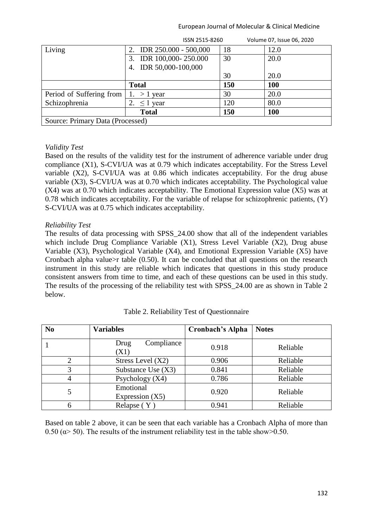| Living<br>2. IDR $250.000 - 500,000$<br>12.0<br>18<br>3. IDR 100,000-250.000<br>30<br>20.0<br>4. IDR 50,000-100,000<br>30<br>20.0<br>150<br><b>100</b><br><b>Total</b><br>30<br>20.0<br>Period of Suffering from<br>$>1$ year<br>Schizophrenia<br>80.0<br>120<br>$\leq$ 1 year<br>150<br>100<br><b>Total</b><br>Source: Primary Data (Processed) | ISSN 2515-8260 | Volume 07, Issue 06, 2020 |
|--------------------------------------------------------------------------------------------------------------------------------------------------------------------------------------------------------------------------------------------------------------------------------------------------------------------------------------------------|----------------|---------------------------|
|                                                                                                                                                                                                                                                                                                                                                  |                |                           |
|                                                                                                                                                                                                                                                                                                                                                  |                |                           |
|                                                                                                                                                                                                                                                                                                                                                  |                |                           |
|                                                                                                                                                                                                                                                                                                                                                  |                |                           |
|                                                                                                                                                                                                                                                                                                                                                  |                |                           |
|                                                                                                                                                                                                                                                                                                                                                  |                |                           |
|                                                                                                                                                                                                                                                                                                                                                  |                |                           |
|                                                                                                                                                                                                                                                                                                                                                  |                |                           |
|                                                                                                                                                                                                                                                                                                                                                  |                |                           |

## *Validity Test*

Based on the results of the validity test for the instrument of adherence variable under drug compliance (X1), S-CVI/UA was at 0.79 which indicates acceptability. For the Stress Level variable (X2), S-CVI/UA was at 0.86 which indicates acceptability. For the drug abuse variable (X3), S-CVI/UA was at 0.70 which indicates acceptability. The Psychological value (X4) was at 0.70 which indicates acceptability. The Emotional Expression value (X5) was at 0.78 which indicates acceptability. For the variable of relapse for schizophrenic patients, (Y) S-CVI/UA was at 0.75 which indicates acceptability.

#### *Reliability Test*

The results of data processing with SPSS\_24.00 show that all of the independent variables which include Drug Compliance Variable (X1), Stress Level Variable (X2), Drug abuse Variable (X3), Psychological Variable (X4), and Emotional Expression Variable (X5) have Cronbach alpha value>r table  $(0.50)$ . It can be concluded that all questions on the research instrument in this study are reliable which indicates that questions in this study produce consistent answers from time to time, and each of these questions can be used in this study. The results of the processing of the reliability test with SPSS\_24.00 are as shown in Table 2 below.

| N <sub>0</sub> | <b>Variables</b>               | <b>Cronbach's Alpha</b> | <b>Notes</b> |
|----------------|--------------------------------|-------------------------|--------------|
|                | Compliance<br>Drug<br>(X1)     | 0.918                   | Reliable     |
|                | Stress Level $(X2)$            | 0.906                   | Reliable     |
| 3              | Substance Use $(X3)$           | 0.841                   | Reliable     |
| 4              | Psychology $(X4)$              | 0.786                   | Reliable     |
| 5              | Emotional<br>Expression $(X5)$ | 0.920                   | Reliable     |
|                | Relapse $(Y)$                  | 0.941                   | Reliable     |

Based on table 2 above, it can be seen that each variable has a Cronbach Alpha of more than 0.50 ( $\alpha$  > 50). The results of the instrument reliability test in the table show > 0.50.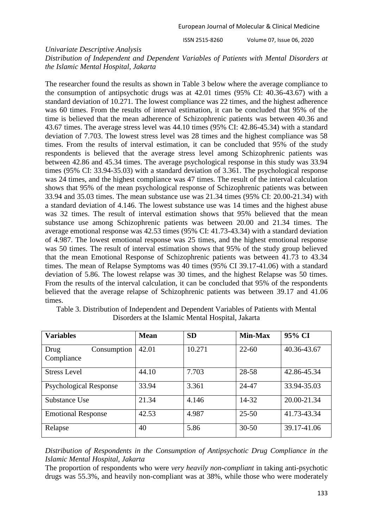#### *Univariate Descriptive Analysis*

*Distribution of Independent and Dependent Variables of Patients with Mental Disorders at the Islamic Mental Hospital, Jakarta*

The researcher found the results as shown in Table 3 below where the average compliance to the consumption of antipsychotic drugs was at 42.01 times (95% CI: 40.36-43.67) with a standard deviation of 10.271. The lowest compliance was 22 times, and the highest adherence was 60 times. From the results of interval estimation, it can be concluded that 95% of the time is believed that the mean adherence of Schizophrenic patients was between 40.36 and 43.67 times. The average stress level was 44.10 times (95% CI: 42.86-45.34) with a standard deviation of 7.703. The lowest stress level was 28 times and the highest compliance was 58 times. From the results of interval estimation, it can be concluded that 95% of the study respondents is believed that the average stress level among Schizophrenic patients was between 42.86 and 45.34 times. The average psychological response in this study was 33.94 times (95% CI: 33.94-35.03) with a standard deviation of 3.361. The psychological response was 24 times, and the highest compliance was 47 times. The result of the interval calculation shows that 95% of the mean psychological response of Schizophrenic patients was between 33.94 and 35.03 times. The mean substance use was 21.34 times (95% CI: 20.00-21.34) with a standard deviation of 4.146. The lowest substance use was 14 times and the highest abuse was 32 times. The result of interval estimation shows that 95% believed that the mean substance use among Schizophrenic patients was between 20.00 and 21.34 times. The average emotional response was 42.53 times (95% CI: 41.73-43.34) with a standard deviation of 4.987. The lowest emotional response was 25 times, and the highest emotional response was 50 times. The result of interval estimation shows that 95% of the study group believed that the mean Emotional Response of Schizophrenic patients was between 41.73 to 43.34 times. The mean of Relapse Symptoms was 40 times (95% CI 39.17-41.06) with a standard deviation of 5.86. The lowest relapse was 30 times, and the highest Relapse was 50 times. From the results of the interval calculation, it can be concluded that 95% of the respondents believed that the average relapse of Schizophrenic patients was between 39.17 and 41.06 times.

| <b>Variables</b>                  | <b>Mean</b> | <b>SD</b> | <b>Min-Max</b> | 95% CI      |
|-----------------------------------|-------------|-----------|----------------|-------------|
| Consumption<br>Drug<br>Compliance | 42.01       | 10.271    | $22 - 60$      | 40.36-43.67 |
| <b>Stress Level</b>               | 44.10       | 7.703     | 28-58          | 42.86-45.34 |
| <b>Psychological Response</b>     | 33.94       | 3.361     | 24-47          | 33.94-35.03 |
| Substance Use                     | 21.34       | 4.146     | 14-32          | 20.00-21.34 |
| <b>Emotional Response</b>         | 42.53       | 4.987     | $25 - 50$      | 41.73-43.34 |
| Relapse                           | 40          | 5.86      | $30 - 50$      | 39.17-41.06 |

Table 3. Distribution of Independent and Dependent Variables of Patients with Mental Disorders at the Islamic Mental Hospital, Jakarta

*Distribution of Respondents in the Consumption of Antipsychotic Drug Compliance in the Islamic Mental Hospital, Jakarta*

The proportion of respondents who were *very heavily non-compliant* in taking anti-psychotic drugs was 55.3%, and heavily non-compliant was at 38%, while those who were moderately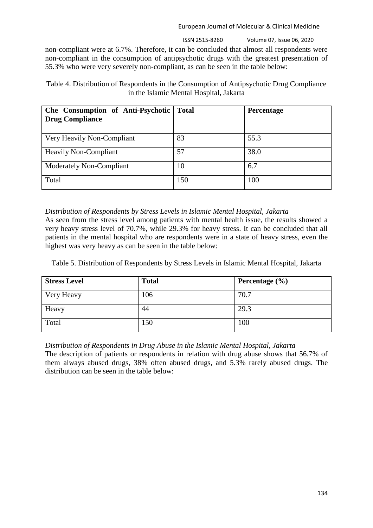ISSN 2515-8260 Volume 07, Issue 06, 2020

non-compliant were at 6.7%. Therefore, it can be concluded that almost all respondents were non-compliant in the consumption of antipsychotic drugs with the greatest presentation of 55.3% who were very severely non-compliant, as can be seen in the table below:

Table 4. Distribution of Respondents in the Consumption of Antipsychotic Drug Compliance in the Islamic Mental Hospital, Jakarta

| Che Consumption of Anti-Psychotic<br><b>Drug Compliance</b> | <b>Total</b> | Percentage |
|-------------------------------------------------------------|--------------|------------|
| Very Heavily Non-Compliant                                  | 83           | 55.3       |
| <b>Heavily Non-Compliant</b>                                | 57           | 38.0       |
| Moderately Non-Compliant                                    | 10           | 6.7        |
| Total                                                       | 150          | 100        |

# *Distribution of Respondents by Stress Levels in Islamic Mental Hospital, Jakarta*

As seen from the stress level among patients with mental health issue, the results showed a very heavy stress level of 70.7%, while 29.3% for heavy stress. It can be concluded that all patients in the mental hospital who are respondents were in a state of heavy stress, even the highest was very heavy as can be seen in the table below:

Table 5. Distribution of Respondents by Stress Levels in Islamic Mental Hospital, Jakarta

| <b>Stress Level</b> | <b>Total</b> | Percentage $(\% )$ |
|---------------------|--------------|--------------------|
| Very Heavy          | 106          | 70.7               |
| Heavy               | 44           | 29.3               |
| Total               | 150          | 100                |

# *Distribution of Respondents in Drug Abuse in the Islamic Mental Hospital, Jakarta*

The description of patients or respondents in relation with drug abuse shows that 56.7% of them always abused drugs, 38% often abused drugs, and 5.3% rarely abused drugs. The distribution can be seen in the table below: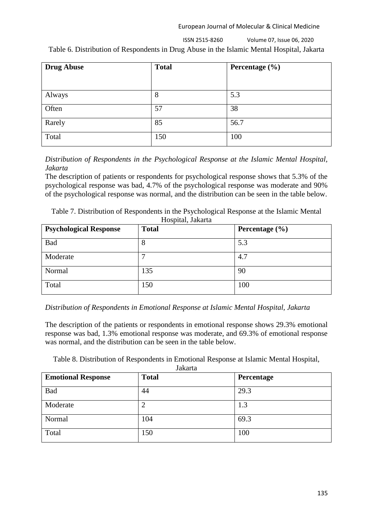ISSN 2515-8260 Volume 07, Issue 06, 2020

Table 6. Distribution of Respondents in Drug Abuse in the Islamic Mental Hospital, Jakarta

| <b>Drug Abuse</b> | <b>Total</b> | Percentage $(\% )$ |
|-------------------|--------------|--------------------|
|                   |              |                    |
| Always            | 8            | 5.3                |
| Often             | 57           | 38                 |
| Rarely            | 85           | 56.7               |
| Total             | 150          | 100                |

*Distribution of Respondents in the Psychological Response at the Islamic Mental Hospital, Jakarta*

The description of patients or respondents for psychological response shows that 5.3% of the psychological response was bad, 4.7% of the psychological response was moderate and 90% of the psychological response was normal, and the distribution can be seen in the table below.

| Table 7. Distribution of Respondents in the Psychological Response at the Islamic Mental |
|------------------------------------------------------------------------------------------|
| Locuital Lalzarta                                                                        |

| <b>Psychological Response</b> | <b>Total</b> | Percentage $(\% )$ |
|-------------------------------|--------------|--------------------|
| Bad                           | 8            | 5.3                |
| Moderate                      |              | 4.7                |
| Normal                        | 135          | 90                 |
| Total                         | 150          | 100                |

# *Distribution of Respondents in Emotional Response at Islamic Mental Hospital, Jakarta*

The description of the patients or respondents in emotional response shows 29.3% emotional response was bad, 1.3% emotional response was moderate, and 69.3% of emotional response was normal, and the distribution can be seen in the table below.

Table 8. Distribution of Respondents in Emotional Response at Islamic Mental Hospital,

| Jakarta |  |
|---------|--|
|---------|--|

| <b>Emotional Response</b> | <b>Total</b> | Percentage |
|---------------------------|--------------|------------|
| Bad                       | 44           | 29.3       |
| Moderate                  | 2            | 1.3        |
| Normal                    | 104          | 69.3       |
| Total                     | 150          | 100        |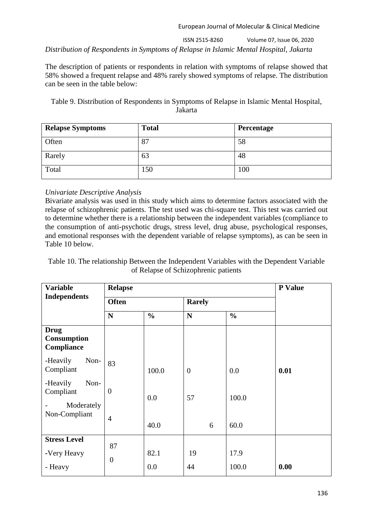ISSN 2515-8260 Volume 07, Issue 06, 2020 *Distribution of Respondents in Symptoms of Relapse in Islamic Mental Hospital, Jakarta*

The description of patients or respondents in relation with symptoms of relapse showed that 58% showed a frequent relapse and 48% rarely showed symptoms of relapse. The distribution can be seen in the table below:

Table 9. Distribution of Respondents in Symptoms of Relapse in Islamic Mental Hospital, Jakarta

| <b>Relapse Symptoms</b> | <b>Total</b> | Percentage |
|-------------------------|--------------|------------|
| Often                   | 87           | 58         |
| Rarely                  | 63           | 48         |
| Total                   | 150          | 100        |

# *Univariate Descriptive Analysis*

Bivariate analysis was used in this study which aims to determine factors associated with the relapse of schizophrenic patients. The test used was chi-square test. This test was carried out to determine whether there is a relationship between the independent variables (compliance to the consumption of anti-psychotic drugs, stress level, drug abuse, psychological responses, and emotional responses with the dependent variable of relapse symptoms), as can be seen in Table 10 below.

Table 10. The relationship Between the Independent Variables with the Dependent Variable of Relapse of Schizophrenic patients

| <b>Variable</b>                                 | <b>Relapse</b> |               |               |               | P Value |
|-------------------------------------------------|----------------|---------------|---------------|---------------|---------|
| <b>Independents</b>                             | <b>Often</b>   |               | <b>Rarely</b> |               |         |
|                                                 | $\mathbf N$    | $\frac{0}{0}$ | ${\bf N}$     | $\frac{0}{0}$ |         |
| <b>Drug</b><br><b>Consumption</b><br>Compliance |                |               |               |               |         |
| -Heavily<br>Non-<br>Compliant                   | 83             | 100.0         | $\mathbf{0}$  | 0.0           | 0.01    |
| Non-<br>-Heavily<br>Compliant<br>Moderately     | $\overline{0}$ | 0.0           | 57            | 100.0         |         |
| Non-Compliant                                   | $\overline{4}$ | 40.0          | 6             | 60.0          |         |
| <b>Stress Level</b>                             | 87             |               |               |               |         |
| -Very Heavy                                     | $\overline{0}$ | 82.1          | 19            | 17.9          |         |
| - Heavy                                         |                | 0.0           | 44            | 100.0         | 0.00    |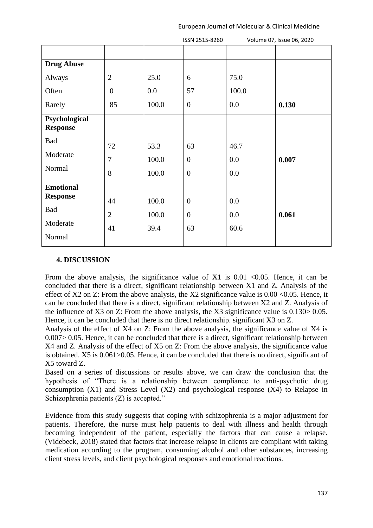|                                  |                  |         | ISSN 2515-8260   |         | Volume 07, Issue 06, 2020 |
|----------------------------------|------------------|---------|------------------|---------|---------------------------|
|                                  |                  |         |                  |         |                           |
| <b>Drug Abuse</b>                |                  |         |                  |         |                           |
| Always                           | $\overline{2}$   | 25.0    | 6                | 75.0    |                           |
| Often                            | $\boldsymbol{0}$ | $0.0\,$ | 57               | 100.0   |                           |
| Rarely                           | 85               | 100.0   | $\boldsymbol{0}$ | 0.0     | 0.130                     |
| Psychological<br><b>Response</b> |                  |         |                  |         |                           |
| Bad                              | 72               | 53.3    | 63               | 46.7    |                           |
| Moderate                         | $\boldsymbol{7}$ | 100.0   | $\boldsymbol{0}$ | 0.0     | 0.007                     |
| Normal                           | $8\,$            | 100.0   | $\boldsymbol{0}$ | 0.0     |                           |
| <b>Emotional</b>                 |                  |         |                  |         |                           |
| <b>Response</b>                  | 44               | 100.0   | $\boldsymbol{0}$ | $0.0\,$ |                           |
| Bad                              | $\sqrt{2}$       | 100.0   | $\boldsymbol{0}$ | 0.0     | 0.061                     |
| Moderate                         | 41               | 39.4    | 63               | 60.6    |                           |
| Normal                           |                  |         |                  |         |                           |

## **4. DISCUSSION**

From the above analysis, the significance value of X1 is  $0.01 \le 0.05$ . Hence, it can be concluded that there is a direct, significant relationship between X1 and Z. Analysis of the effect of X2 on Z: From the above analysis, the X2 significance value is  $0.00 \le 0.05$ . Hence, it can be concluded that there is a direct, significant relationship between X2 and Z. Analysis of the influence of X3 on Z: From the above analysis, the X3 significance value is 0.130> 0.05. Hence, it can be concluded that there is no direct relationship. significant X3 on Z.

Analysis of the effect of X4 on Z: From the above analysis, the significance value of X4 is 0.007> 0.05. Hence, it can be concluded that there is a direct, significant relationship between X4 and Z. Analysis of the effect of X5 on Z: From the above analysis, the significance value is obtained. X5 is 0.061>0.05. Hence, it can be concluded that there is no direct, significant of X5 toward Z.

Based on a series of discussions or results above, we can draw the conclusion that the hypothesis of "There is a relationship between compliance to anti-psychotic drug consumption (X1) and Stress Level (X2) and psychological response (X4) to Relapse in Schizophrenia patients (Z) is accepted."

Evidence from this study suggests that coping with schizophrenia is a major adjustment for patients. Therefore, the nurse must help patients to deal with illness and health through becoming independent of the patient, especially the factors that can cause a relapse. (Videbeck, 2018) stated that factors that increase relapse in clients are compliant with taking medication according to the program, consuming alcohol and other substances, increasing client stress levels, and client psychological responses and emotional reactions.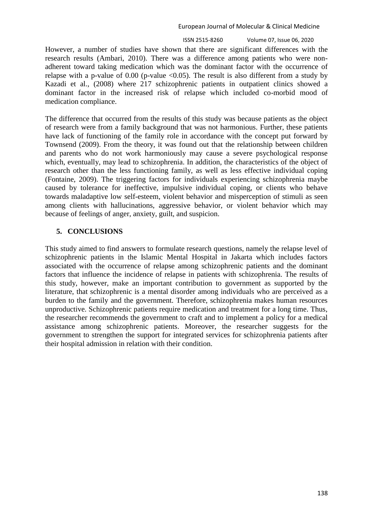ISSN 2515-8260 Volume 07, Issue 06, 2020

However, a number of studies have shown that there are significant differences with the research results (Ambari, 2010). There was a difference among patients who were nonadherent toward taking medication which was the dominant factor with the occurrence of relapse with a p-value of 0.00 (p-value  $\langle 0.05 \rangle$ ). The result is also different from a study by Kazadi et al., (2008) where 217 schizophrenic patients in outpatient clinics showed a dominant factor in the increased risk of relapse which included co-morbid mood of medication compliance.

The difference that occurred from the results of this study was because patients as the object of research were from a family background that was not harmonious. Further, these patients have lack of functioning of the family role in accordance with the concept put forward by Townsend (2009). From the theory, it was found out that the relationship between children and parents who do not work harmoniously may cause a severe psychological response which, eventually, may lead to schizophrenia. In addition, the characteristics of the object of research other than the less functioning family, as well as less effective individual coping (Fontaine, 2009). The triggering factors for individuals experiencing schizophrenia maybe caused by tolerance for ineffective, impulsive individual coping, or clients who behave towards maladaptive low self-esteem, violent behavior and misperception of stimuli as seen among clients with hallucinations, aggressive behavior, or violent behavior which may because of feelings of anger, anxiety, guilt, and suspicion.

## **5. CONCLUSIONS**

This study aimed to find answers to formulate research questions, namely the relapse level of schizophrenic patients in the Islamic Mental Hospital in Jakarta which includes factors associated with the occurrence of relapse among schizophrenic patients and the dominant factors that influence the incidence of relapse in patients with schizophrenia. The results of this study, however, make an important contribution to government as supported by the literature, that schizophrenic is a mental disorder among individuals who are perceived as a burden to the family and the government. Therefore, schizophrenia makes human resources unproductive. Schizophrenic patients require medication and treatment for a long time. Thus, the researcher recommends the government to craft and to implement a policy for a medical assistance among schizophrenic patients. Moreover, the researcher suggests for the government to strengthen the support for integrated services for schizophrenia patients after their hospital admission in relation with their condition.